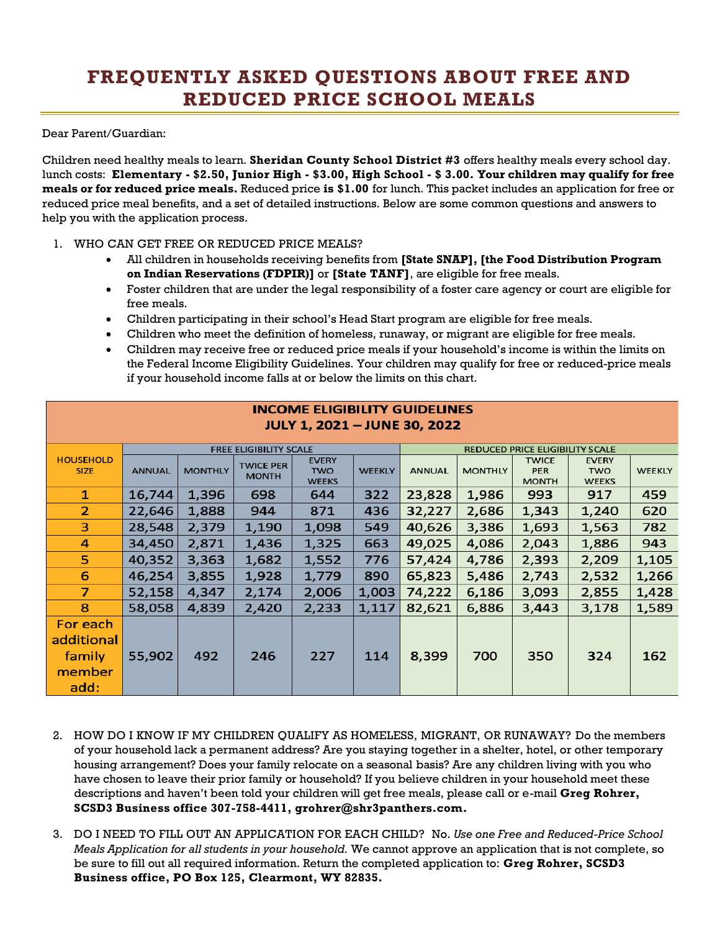## **FREQUENTLY ASKED QUESTIONS ABOUT FREE AND REDUCED PRICE SCHOOL MEALS**

Dear Parent/Guardian:

Children need healthy meals to learn. **Sheridan County School District #3** offers healthy meals every school day. lunch costs: **Elementary - \$2.50, Junior High - \$3.00, High School - \$ 3.00. Your children may qualify for free meals or for reduced price meals.** Reduced price **is \$1.00** for lunch. This packet includes an application for free or reduced price meal benefits, and a set of detailed instructions. Below are some common questions and answers to help you with the application process.

## 1. WHO CAN GET FREE OR REDUCED PRICE MEALS?

- All children in households receiving benefits from **[State SNAP], [the Food Distribution Program on Indian Reservations (FDPIR)]** or **[State TANF]**, are eligible for free meals.
- Foster children that are under the legal responsibility of a foster care agency or court are eligible for free meals.
- Children participating in their school's Head Start program are eligible for free meals.
- Children who meet the definition of homeless, runaway, or migrant are eligible for free meals.

INCOME ELIGIBILITY GLIIDELINES

• Children may receive free or reduced price meals if your household's income is within the limits on the Federal Income Eligibility Guidelines. Your children may qualify for free or reduced-price meals if your household income falls at or below the limits on this chart.

| <b>JULY 1, 2021 - JUNE 30, 2022</b> |                               |                |                                  |                                            |               |                                        |                |                                            |                                            |               |
|-------------------------------------|-------------------------------|----------------|----------------------------------|--------------------------------------------|---------------|----------------------------------------|----------------|--------------------------------------------|--------------------------------------------|---------------|
|                                     | <b>FREE ELIGIBILITY SCALE</b> |                |                                  |                                            |               | <b>REDUCED PRICE ELIGIBILITY SCALE</b> |                |                                            |                                            |               |
| <b>HOUSEHOLD</b><br><b>SIZE</b>     | <b>ANNUAL</b>                 | <b>MONTHLY</b> | <b>TWICE PER</b><br><b>MONTH</b> | <b>EVERY</b><br><b>TWO</b><br><b>WEEKS</b> | <b>WEEKLY</b> | <b>ANNUAL</b>                          | <b>MONTHLY</b> | <b>TWICE</b><br><b>PER</b><br><b>MONTH</b> | <b>EVERY</b><br><b>TWO</b><br><b>WEEKS</b> | <b>WEEKLY</b> |
| 1                                   | 16,744                        | 1,396          | 698                              | 644                                        | 322           | 23,828                                 | 1,986          | 993                                        | 917                                        | 459           |
| $\overline{2}$                      | 22,646                        | 1,888          | 944                              | 871                                        | 436           | 32,227                                 | 2,686          | 1,343                                      | 1,240                                      | 620           |
| 3                                   | 28,548                        | 2,379          | 1,190                            | 1,098                                      | 549           | 40,626                                 | 3,386          | 1,693                                      | 1,563                                      | 782           |
| 4                                   | 34,450                        | 2,871          | 1,436                            | 1,325                                      | 663           | 49,025                                 | 4,086          | 2,043                                      | 1,886                                      | 943           |
| 5.                                  | 40,352                        | 3,363          | 1,682                            | 1,552                                      | 776           | 57,424                                 | 4,786          | 2,393                                      | 2,209                                      | 1,105         |
| 6                                   | 46,254                        | 3,855          | 1,928                            | 1,779                                      | 890           | 65,823                                 | 5,486          | 2,743                                      | 2,532                                      | 1,266         |
| $\overline{7}$                      | 52,158                        | 4,347          | 2,174                            | 2,006                                      | 1,003         | 74,222                                 | 6,186          | 3,093                                      | 2,855                                      | 1,428         |
| 8                                   | 58,058                        | 4,839          | 2,420                            | 2,233                                      | 1,117         | 82,621                                 | 6,886          | 3,443                                      | 3,178                                      | 1,589         |
| For each<br>additional<br>family    | 55,902                        | 492            | 246                              | 227                                        | 114           | 8,399                                  | 700            | 350                                        | 324                                        | 162           |
| member<br>add:                      |                               |                |                                  |                                            |               |                                        |                |                                            |                                            |               |

- 2. HOW DO I KNOW IF MY CHILDREN QUALIFY AS HOMELESS, MIGRANT, OR RUNAWAY? Do the members of your household lack a permanent address? Are you staying together in a shelter, hotel, or other temporary housing arrangement? Does your family relocate on a seasonal basis? Are any children living with you who have chosen to leave their prior family or household? If you believe children in your household meet these descriptions and haven't been told your children will get free meals, please call or e-mail **Greg Rohrer, SCSD3 Business office 307-758-4411, grohrer@shr3panthers.com.**
- 3. DO I NEED TO FILL OUT AN APPLICATION FOR EACH CHILD? No. *Use one Free and Reduced-Price School Meals Application for all students in your household.* We cannot approve an application that is not complete, so be sure to fill out all required information. Return the completed application to: **Greg Rohrer, SCSD3 Business office, PO Box 125, Clearmont, WY 82835.**